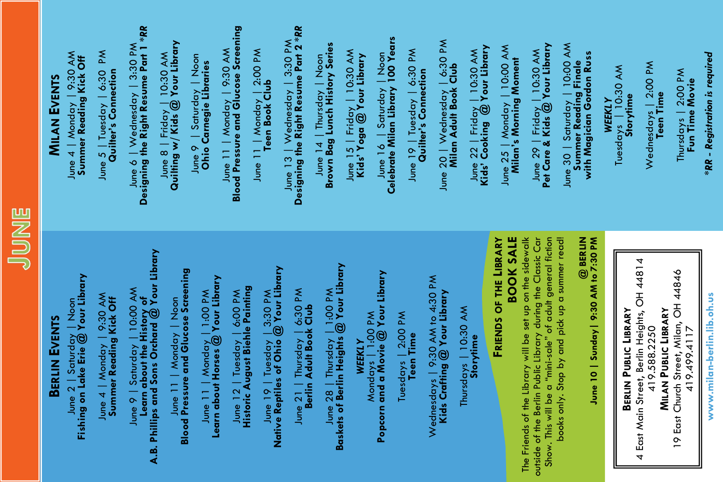| __ |
|----|
|    |

# **BERLIN EVENTS**

**MILAN** 

**EVENTS**

June 4 | Monday | 9:30 AM **Summer Reading Kick Off** June 5 | Tuesday | 6:30 PM **Quilter's Connection** 

June 5 | Tuesday | 6:30 PM<br>Quilter's Connection

June 6 | Wednesday | 3:30 PM **Designing the Right Resume Part 1 \****RR* June 8 | Friday | 10:30 AM **Quilting w/ Kids @ Your Library** June 9 | Saturday | Noon **Ohio Carnegie Libraries** June 11 | Monday | 9:30 AM **Blood Pressure and Glucose Screening** June 11 | Monday | 2:00 PM **Teen Book Club** June 13 | Wednesday | 3:30 PM **Designing the Right Resume Part 2** *\*RR* June 14 | Thursday | Noon **Brown Bag Lunch History Series** June 15 | Friday | 10:30 AM **Kids' Yoga @ Your Library** June 16 | Saturday | Noon **Celebrate Milan Library 100 Years** June 19 | Tuesday | 6:30 PM **Quilter's Connection** June 20 | Wednesday | 6:30 PM **Milan Adult Book Club**

June 6 | Wednesday | 3:30 PM

Designing the Right Resume Part 1 \*RR

June 8 | Friday | 10:30 AM<br>Quilting w/ Kids @ Your Library

June 2 | Saturday | Noon **Fishing on Lake Erie @ Your Library**

June 4 | Monday | 9:30 AM<br>Summer Reading Kick Off June 4 | Monday | 9:30 AM **Summer Reading Kick Off** June 9 | Saturday | 10:00 AM<br>Learn about the History of<br>A.B. Phillips and Sons Orchard @ Your Library **A.B. Phillips and Sons Orchard @ Your Library** June 9 | Saturday | 10:00 AM **Learn about the History of** 

June 11 | Monday | Noon<br>Blood Pressure and Glucose Screening **Blood Pressure and Glucose Screening** June 11 | Monday | Noon

June 11 | Monday | 1:00 PM<br>Learn about Horses @ Your Library **Learn about Horses @ Your Library** June 11 | Monday | 1:00 PM

June 12 | Tuesday | 6:00 PM<br>Historic August Biehle Painting **Historic August Biehle Painting** June 12 | Tuesday | 6:00 PM

June 11 | Monday | 9:30 AM<br>Blood Pressure and Glucose Screening

une 9 | Saturday | Noon<br>**Ohio Carnegie Libraries** 

June 9

June 11 | Monday | 2:00 PM<br>Teen Book Club

June 19 | Tuesday | 3:30 PM<br>Native Reptiles of Ohio @ Your Library **Native Reptiles of Ohio @ Your Library** June 19 | Tuesday | 3:30 PM

June 21 | Thursday | 6:30 PM<br>Berlin Adult Book Club June 21 | Thursday | 6:30 PM **Berlin Adult Book Club**

June 13 | Wednesday |  $3.30$  PM<br>Designing the Right Resume Part 2 \*RR

June 14 | Thursday | Noon<br>Brown Bag Lunch History Series

June 28 | Thursday | 1:00 PM<br>Baskets of Berlin Heights @ Your Library **Baskets of Berlin Heights @ Your Library** June 28 | Thursday | 1:00 PM

WEEKLY<br>Mondays | 1:00 PM<br>Popcorn and a Movie @ Your Library Mondays | 1:00 PM **Popcorn and a Movie @ Your Library**

June 16 | Saturday | Noon<br>Celebrate Milan Library 100 Years

June 19 | Tuesday | 6:30 PM

Quilter's Connection

June 15 | Friday | 10:30 AM<br>Kids' Yoga @ Your Library

Tuesdays | 2:00 PM Tuesdays | 2:00 PM<br>**Teen Time**  Wednesdays | 9:30 AM to 4:30 PM<br>**Kids Crafting @ Your Library** Wednesdays | 9:30 AM to 4:30 PM

**Kids Crafting @ Your Library**

Thursdays | 10:30 AM

Thursdays | 10:30 AM

**Storytime** 

**BOOK SALE**<br>The Friends of the Library will be set up on the sidewalk FRIENDS OF THE LIBRARY **FRIENDS OF THE LIBRARY**

The Friends of the Library will be set up on the sidewalk outside of the Berlin Public Library during the Classic Car Show. This will be a "mini-sale" of adult general fiction books only. Stop by and pick up a summer read!

outside of the Berlin Public Library during the Classic Car

Show. This will be a "mini-sale" of adult general fiction<br>books only. Stop by and pick up a summer read!

**BERLIN PUBLIC LIBRARY PUBLIC LIBRARY** 4 East Main Street, Berlin Heights, OH 44814 4 East Main Street, Berlin Heights, OH 44814<br>419.588.2250

**@ BERLIN June 10 | Sunday| 9:30 AM to 7:30 PM** W**EEKLY**<br>Tuesdays | 10:30 AM Tuesdays | 10:30 AM **Storytime**

June 30 | Saturday | 10:00 AM<br>**Summer Reading Finale** 

with Magician Gordon Russ

Wednesdays | 2:00 PM Wednesdays | 2:00 PM<br>**Teen Time**  Thursdays | 2:00 PM **Fun Time Movie** *\*RR - Registration is required*

Thursdays | 2:00 PM<br>Fun Time Movie

**\*RR** - Registration is required

**MILAN PUBLIC LIBRARY**<br>19 East Church Street, Milan, OH 44846 **PUBLIC LIBRARY** 19 East Church Street, Milan, OH 44846 419.499.4117

**www.milan-berlin.lib.oh.us** 

www.milan-berlin.lib.oh.us

June 22 | Friday | 10:30 AM<br>Kids' Cooking @ Your Library June 22 | Friday | 10:30 AM

June 20 | Wednesday | 6:30 PM<br>**Milan Adult Book Club** 

**Kids' Cooking @ Your Library**

June 25 | Monday | 10:00 AM<br>**Milan's Morning Moment** June 25 | Monday | 10:00 AM

**Milan's Morning Moment** June 29 | Friday | 10:30 AM **Pet Care & Kids @ Your Library** June 30 | Saturday | 10:00 AM **Summer Reading Finale with Magician Gordon Russ**

June 29 | Friday | 10:30 AM<br>Pet Care & Kids @ Your Library